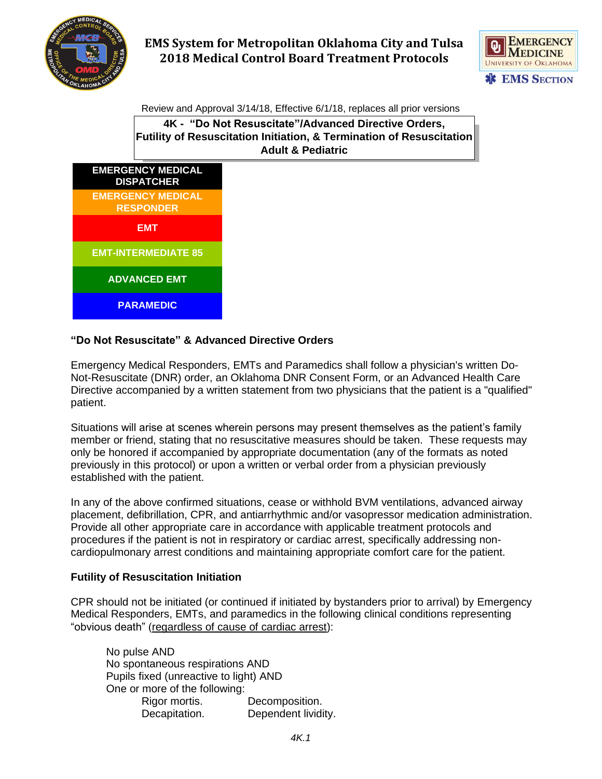



Review and Approval 3/14/18, Effective 6/1/18, replaces all prior versions

**4K - "Do Not Resuscitate"/Advanced Directive Orders, Futility of Resuscitation Initiation, & Termination of Resuscitation Adult & Pediatric**



#### **"Do Not Resuscitate" & Advanced Directive Orders**

Emergency Medical Responders, EMTs and Paramedics shall follow a physician's written Do-Not-Resuscitate (DNR) order, an Oklahoma DNR Consent Form, or an Advanced Health Care Directive accompanied by a written statement from two physicians that the patient is a "qualified" patient.

Situations will arise at scenes wherein persons may present themselves as the patient's family member or friend, stating that no resuscitative measures should be taken. These requests may only be honored if accompanied by appropriate documentation (any of the formats as noted previously in this protocol) or upon a written or verbal order from a physician previously established with the patient.

In any of the above confirmed situations, cease or withhold BVM ventilations, advanced airway placement, defibrillation, CPR, and antiarrhythmic and/or vasopressor medication administration. Provide all other appropriate care in accordance with applicable treatment protocols and procedures if the patient is not in respiratory or cardiac arrest, specifically addressing noncardiopulmonary arrest conditions and maintaining appropriate comfort care for the patient.

#### **Futility of Resuscitation Initiation**

CPR should not be initiated (or continued if initiated by bystanders prior to arrival) by Emergency Medical Responders, EMTs, and paramedics in the following clinical conditions representing "obvious death" (regardless of cause of cardiac arrest):

| No pulse AND                           |                     |
|----------------------------------------|---------------------|
| No spontaneous respirations AND        |                     |
| Pupils fixed (unreactive to light) AND |                     |
| One or more of the following:          |                     |
| Rigor mortis.                          | Decomposition.      |
| Decapitation.                          | Dependent lividity. |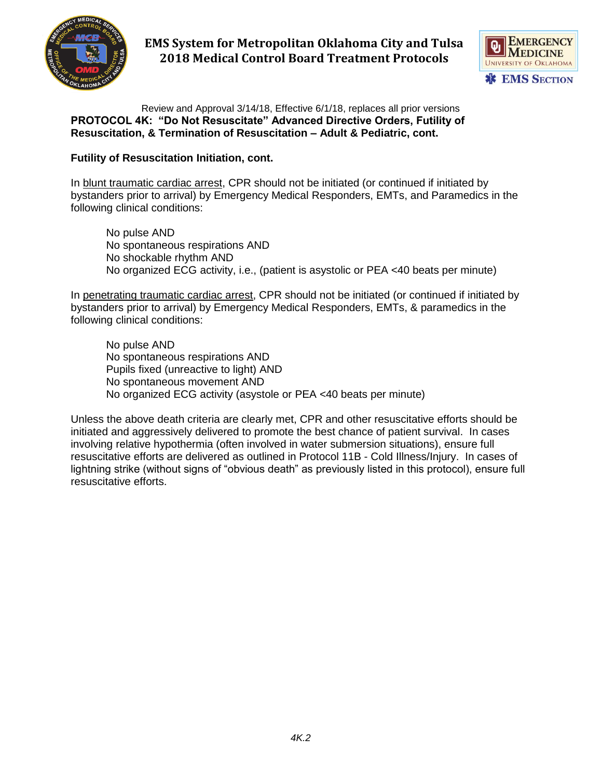



Review and Approval 3/14/18, Effective 6/1/18, replaces all prior versions **PROTOCOL 4K: "Do Not Resuscitate" Advanced Directive Orders, Futility of Resuscitation, & Termination of Resuscitation – Adult & Pediatric, cont.**

#### **Futility of Resuscitation Initiation, cont.**

In blunt traumatic cardiac arrest, CPR should not be initiated (or continued if initiated by bystanders prior to arrival) by Emergency Medical Responders, EMTs, and Paramedics in the following clinical conditions:

No pulse AND No spontaneous respirations AND No shockable rhythm AND No organized ECG activity, i.e., (patient is asystolic or PEA <40 beats per minute)

In penetrating traumatic cardiac arrest, CPR should not be initiated (or continued if initiated by bystanders prior to arrival) by Emergency Medical Responders, EMTs, & paramedics in the following clinical conditions:

No pulse AND No spontaneous respirations AND Pupils fixed (unreactive to light) AND No spontaneous movement AND No organized ECG activity (asystole or PEA <40 beats per minute)

Unless the above death criteria are clearly met, CPR and other resuscitative efforts should be initiated and aggressively delivered to promote the best chance of patient survival. In cases involving relative hypothermia (often involved in water submersion situations), ensure full resuscitative efforts are delivered as outlined in Protocol 11B - Cold Illness/Injury. In cases of lightning strike (without signs of "obvious death" as previously listed in this protocol), ensure full resuscitative efforts.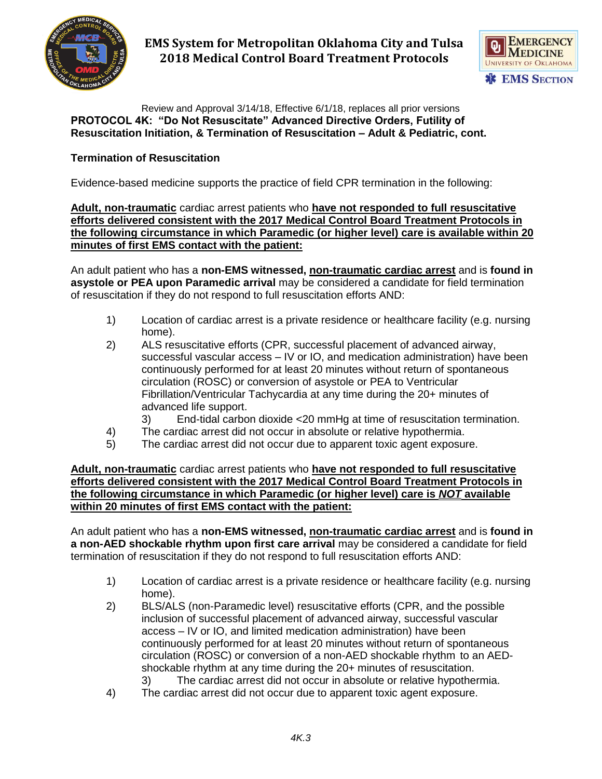



Review and Approval 3/14/18, Effective 6/1/18, replaces all prior versions **PROTOCOL 4K: "Do Not Resuscitate" Advanced Directive Orders, Futility of Resuscitation Initiation, & Termination of Resuscitation – Adult & Pediatric, cont.**

## **Termination of Resuscitation**

Evidence-based medicine supports the practice of field CPR termination in the following:

**Adult, non-traumatic** cardiac arrest patients who **have not responded to full resuscitative efforts delivered consistent with the 2017 Medical Control Board Treatment Protocols in the following circumstance in which Paramedic (or higher level) care is available within 20 minutes of first EMS contact with the patient:**

An adult patient who has a **non-EMS witnessed, non-traumatic cardiac arrest** and is **found in asystole or PEA upon Paramedic arrival** may be considered a candidate for field termination of resuscitation if they do not respond to full resuscitation efforts AND:

- 1) Location of cardiac arrest is a private residence or healthcare facility (e.g. nursing home).
- 2) ALS resuscitative efforts (CPR, successful placement of advanced airway, successful vascular access – IV or IO, and medication administration) have been continuously performed for at least 20 minutes without return of spontaneous circulation (ROSC) or conversion of asystole or PEA to Ventricular Fibrillation/Ventricular Tachycardia at any time during the 20+ minutes of advanced life support.
	- 3) End-tidal carbon dioxide <20 mmHg at time of resuscitation termination.
- 4) The cardiac arrest did not occur in absolute or relative hypothermia.
- 5) The cardiac arrest did not occur due to apparent toxic agent exposure.

**Adult, non-traumatic** cardiac arrest patients who **have not responded to full resuscitative efforts delivered consistent with the 2017 Medical Control Board Treatment Protocols in the following circumstance in which Paramedic (or higher level) care is** *NOT* **available within 20 minutes of first EMS contact with the patient:**

An adult patient who has a **non-EMS witnessed, non-traumatic cardiac arrest** and is **found in a non-AED shockable rhythm upon first care arrival** may be considered a candidate for field termination of resuscitation if they do not respond to full resuscitation efforts AND:

- 1) Location of cardiac arrest is a private residence or healthcare facility (e.g. nursing home).
- 2) BLS/ALS (non-Paramedic level) resuscitative efforts (CPR, and the possible inclusion of successful placement of advanced airway, successful vascular access – IV or IO, and limited medication administration) have been continuously performed for at least 20 minutes without return of spontaneous circulation (ROSC) or conversion of a non-AED shockable rhythm to an AEDshockable rhythm at any time during the 20+ minutes of resuscitation. 3) The cardiac arrest did not occur in absolute or relative hypothermia.
- 4) The cardiac arrest did not occur due to apparent toxic agent exposure.